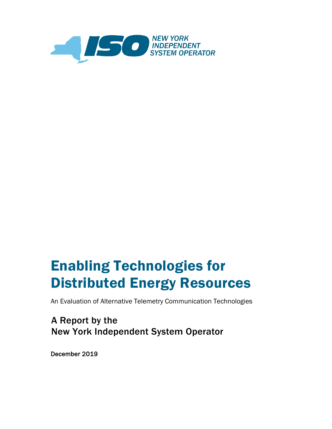

# Enabling Technologies for Distributed Energy Resources

An Evaluation of Alternative Telemetry Communication Technologies

A Report by the New York Independent System Operator

December 2019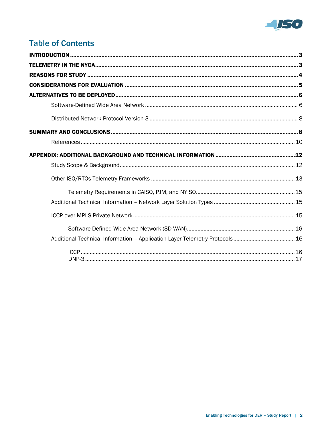

# **Table of Contents**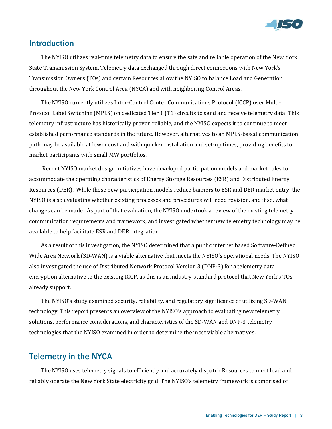

# <span id="page-2-0"></span>Introduction

The NYISO utilizes real-time telemetry data to ensure the safe and reliable operation of the New York State Transmission System. Telemetry data exchanged through direct connections with New York's Transmission Owners (TOs) and certain Resources allow the NYISO to balance Load and Generation throughout the New York Control Area (NYCA) and with neighboring Control Areas.

The NYISO currently utilizes Inter-Control Center Communications Protocol (ICCP) over Multi-Protocol Label Switching (MPLS) on dedicated Tier 1 (T1) circuits to send and receive telemetry data. This telemetry infrastructure has historically proven reliable, and the NYISO expects it to continue to meet established performance standards in the future. However, alternatives to an MPLS-based communication path may be available at lower cost and with quicker installation and set-up times, providing benefits to market participants with small MW portfolios.

Recent NYISO market design initiatives have developed participation models and market rules to accommodate the operating characteristics of Energy Storage Resources (ESR) and Distributed Energy Resources (DER). While these new participation models reduce barriers to ESR and DER market entry, the NYISO is also evaluating whether existing processes and procedures will need revision, and if so, what changes can be made. As part of that evaluation, the NYISO undertook a review of the existing telemetry communication requirements and framework, and investigated whether new telemetry technology may be available to help facilitate ESR and DER integration.

As a result of this investigation, the NYISO determined that a public internet based Software-Defined Wide Area Network (SD-WAN) is a viable alternative that meets the NYISO's operational needs. The NYISO also investigated the use of Distributed Network Protocol Version 3 (DNP-3) for a telemetry data encryption alternative to the existing ICCP, as this is an industry-standard protocol that New York's TOs already support.

The NYISO's study examined security, reliability, and regulatory significance of utilizing SD-WAN technology. This report presents an overview of the NYISO's approach to evaluating new telemetry solutions, performance considerations, and characteristics of the SD-WAN and DNP-3 telemetry technologies that the NYISO examined in order to determine the most viable alternatives.

### <span id="page-2-1"></span>Telemetry in the NYCA

The NYISO uses telemetry signals to efficiently and accurately dispatch Resources to meet load and reliably operate the New York State electricity grid. The NYISO's telemetry framework is comprised of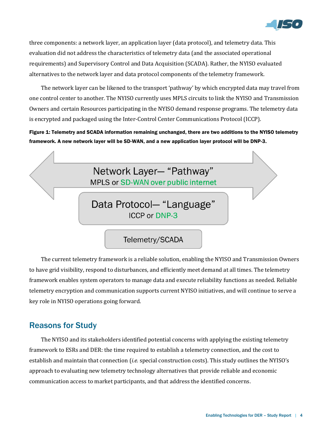

three components: a network layer, an application layer (data protocol), and telemetry data. This evaluation did not address the characteristics of telemetry data (and the associated operational requirements) and Supervisory Control and Data Acquisition (SCADA). Rather, the NYISO evaluated alternatives to the network layer and data protocol components of the telemetry framework.

The network layer can be likened to the transport 'pathway' by which encrypted data may travel from one control center to another. The NYISO currently uses MPLS circuits to link the NYISO and Transmission Owners and certain Resources participating in the NYISO demand response programs. The telemetry data is encrypted and packaged using the Inter-Control Center Communications Protocol (ICCP).

Figure 1: Telemetry and SCADA information remaining unchanged, there are two additions to the NYISO telemetry framework. A new network layer will be SD-WAN, and a new application layer protocol will be DNP-3.



The current telemetry framework is a reliable solution, enabling the NYISO and Transmission Owners to have grid visibility, respond to disturbances, and efficiently meet demand at all times. The telemetry framework enables system operators to manage data and execute reliability functions as needed. Reliable telemetry encryption and communication supports current NYISO initiatives, and will continue to serve a key role in NYISO operations going forward.

# <span id="page-3-0"></span>Reasons for Study

The NYISO and its stakeholders identified potential concerns with applying the existing telemetry framework to ESRs and DER: the time required to establish a telemetry connection, and the cost to establish and maintain that connection (*i.e.* special construction costs). This study outlines the NYISO's approach to evaluating new telemetry technology alternatives that provide reliable and economic communication access to market participants, and that address the identified concerns.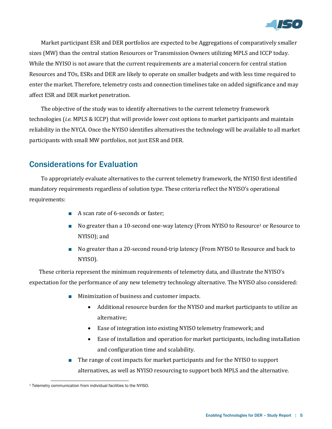

Market participant ESR and DER portfolios are expected to be Aggregations of comparatively smaller sizes (MW) than the central station Resources or Transmission Owners utilizing MPLS and ICCP today. While the NYISO is not aware that the current requirements are a material concern for central station Resources and TOs, ESRs and DER are likely to operate on smaller budgets and with less time required to enter the market. Therefore, telemetry costs and connection timelines take on added significance and may affect ESR and DER market penetration.

The objective of the study was to identify alternatives to the current telemetry framework technologies (*i.e.* MPLS & ICCP) that will provide lower cost options to market participants and maintain reliability in the NYCA. Once the NYISO identifies alternatives the technology will be available to all market participants with small MW portfolios, not just ESR and DER.

# <span id="page-4-0"></span>Considerations for Evaluation

To appropriately evaluate alternatives to the current telemetry framework, the NYISO first identified mandatory requirements regardless of solution type. These criteria reflect the NYISO's operational requirements:

- A scan rate of 6-seconds or faster;
- No greater than a 10-second one-way latency (From NYISO to Resource<sup>1</sup> or Resource to NYISO); and
- No greater than a 20-second round-trip latency (From NYISO to Resource and back to NYISO).

These criteria represent the minimum requirements of telemetry data, and illustrate the NYISO's expectation for the performance of any new telemetry technology alternative. The NYISO also considered:

- Minimization of business and customer impacts.
	- Additional resource burden for the NYISO and market participants to utilize an alternative;
	- Ease of integration into existing NYISO telemetry framework; and
	- Ease of installation and operation for market participants, including installation and configuration time and scalability.
- The range of cost impacts for market participants and for the NYISO to support alternatives, as well as NYISO resourcing to support both MPLS and the alternative.

l <sup>1</sup> Telemetry communication from individual facilities to the NYISO.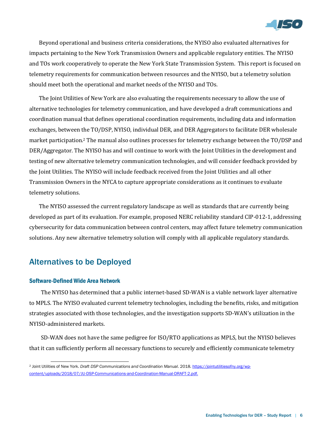

Beyond operational and business criteria considerations, the NYISO also evaluated alternatives for impacts pertaining to the New York Transmission Owners and applicable regulatory entities. The NYISO and TOs work cooperatively to operate the New York State Transmission System. This report is focused on telemetry requirements for communication between resources and the NYISO, but a telemetry solution should meet both the operational and market needs of the NYISO and TOs.

The Joint Utilities of New York are also evaluating the requirements necessary to allow the use of alternative technologies for telemetry communication, and have developed a draft communications and coordination manual that defines operational coordination requirements, including data and information exchanges, between the TO/DSP, NYISO, individual DER, and DER Aggregators to facilitate DER wholesale market participation.<sup>2</sup> The manual also outlines processes for telemetry exchange between the TO/DSP and DER/Aggregator. The NYISO has and will continue to work with the Joint Utilities in the development and testing of new alternative telemetry communication technologies, and will consider feedback provided by the Joint Utilities. The NYISO will include feedback received from the Joint Utilities and all other Transmission Owners in the NYCA to capture appropriate considerations as it continues to evaluate telemetry solutions.

The NYISO assessed the current regulatory landscape as well as standards that are currently being developed as part of its evaluation. For example, proposed NERC reliability standard CIP-012-1, addressing cybersecurity for data communication between control centers, may affect future telemetry communication solutions. Any new alternative telemetry solution will comply with all applicable regulatory standards.

# <span id="page-5-0"></span>Alternatives to be Deployed

### <span id="page-5-1"></span>Software-Defined Wide Area Network

The NYISO has determined that a public internet-based SD-WAN is a viable network layer alternative to MPLS. The NYISO evaluated current telemetry technologies, including the benefits, risks, and mitigation strategies associated with those technologies, and the investigation supports SD-WAN's utilization in the NYISO-administered markets.

SD-WAN does not have the same pedigree for ISO/RTO applications as MPLS, but the NYISO believes that it can sufficiently perform all necessary functions to securely and efficiently communicate telemetry

<sup>-</sup><sup>2</sup> Joint Utilities of New York. *Draft DSP Communications and Coordination Manual*. 2018. [https://jointutilitiesofny.org/wp](https://jointutilitiesofny.org/wp-content/uploads/2018/07/JU-DSP-Communications-and-Coordination-Manual-DRAFT-2.pdf)[content/uploads/2018/07/JU-DSP-Communications-and-Coordination-Manual-DRAFT-2.pdf.](https://jointutilitiesofny.org/wp-content/uploads/2018/07/JU-DSP-Communications-and-Coordination-Manual-DRAFT-2.pdf)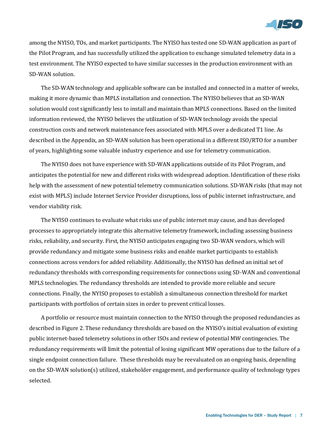

among the NYISO, TOs, and market participants. The NYISO has tested one SD-WAN application as part of the Pilot Program, and has successfully utilized the application to exchange simulated telemetry data in a test environment. The NYISO expected to have similar successes in the production environment with an SD-WAN solution.

The SD-WAN technology and applicable software can be installed and connected in a matter of weeks, making it more dynamic than MPLS installation and connection. The NYISO believes that an SD-WAN solution would cost significantly less to install and maintain than MPLS connections. Based on the limited information reviewed, the NYISO believes the utilization of SD-WAN technology avoids the special construction costs and network maintenance fees associated with MPLS over a dedicated T1 line. As described in the Appendix, an SD-WAN solution has been operational in a different ISO/RTO for a number of years, highlighting some valuable industry experience and use for telemetry communication.

The NYISO does not have experience with SD-WAN applications outside of its Pilot Program, and anticipates the potential for new and different risks with widespread adoption. Identification of these risks help with the assessment of new potential telemetry communication solutions. SD-WAN risks (that may not exist with MPLS) include Internet Service Provider disruptions, loss of public internet infrastructure, and vendor viability risk.

The NYISO continues to evaluate what risks use of public internet may cause, and has developed processes to appropriately integrate this alternative telemetry framework, including assessing business risks, reliability, and security. First, the NYISO anticipates engaging two SD-WAN vendors, which will provide redundancy and mitigate some business risks and enable market participants to establish connections across vendors for added reliability. Additionally, the NYISO has defined an initial set of redundancy thresholds with corresponding requirements for connections using SD-WAN and conventional MPLS technologies. The redundancy thresholds are intended to provide more reliable and secure connections. Finally, the NYISO proposes to establish a simultaneous connection threshold for market participants with portfolios of certain sizes in order to prevent critical losses.

A portfolio or resource must maintain connection to the NYISO through the proposed redundancies as described in Figure 2. These redundancy thresholds are based on the NYISO's initial evaluation of existing public internet-based telemetry solutions in other ISOs and review of potential MW contingencies. The redundancy requirements will limit the potential of losing significant MW operations due to the failure of a single endpoint connection failure. These thresholds may be reevaluated on an ongoing basis, depending on the SD-WAN solution(s) utilized, stakeholder engagement, and performance quality of technology types selected.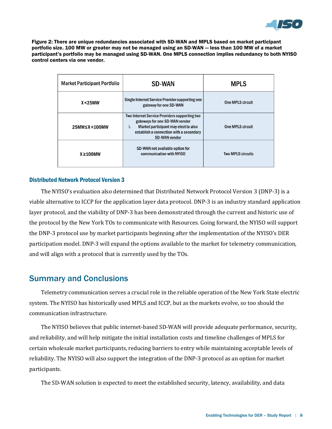

Figure 2: There are unique redundancies associated with SD-WAN and MPLS based on market participant portfolio size. 100 MW or greater may not be managed using an SD-WAN — less than 100 MW of a market participant's portfolio may be managed using SD-WAN. One MPLS connection implies redundancy to both NYISO control centers via one vendor.

| <b>Market Participant Portfolio</b> | <b>SD-WAN</b>                                                                                                                                                                                    | <b>MPLS</b>              |
|-------------------------------------|--------------------------------------------------------------------------------------------------------------------------------------------------------------------------------------------------|--------------------------|
| X < 25MW                            | Single Internet Service Provider supporting one<br>gateway for one SD-WAN                                                                                                                        | <b>One MPLS circuit</b>  |
| 25MW≤X<100MW                        | Two Internet Service Providers supporting two<br>gateways for one SD-WAN vendor<br>Market participant may elect to also<br>i.<br>establish a connection with a secondary<br><b>SD-WAN vendor</b> | <b>One MPLS circuit</b>  |
| $X \geq 100$ MW                     | SD-WAN not available option for<br>communication with NYISO                                                                                                                                      | <b>Two MPLS circuits</b> |

### <span id="page-7-0"></span>Distributed Network Protocol Version 3

The NYISO's evaluation also determined that Distributed Network Protocol Version 3 (DNP-3) is a viable alternative to ICCP for the application layer data protocol. DNP-3 is an industry standard application layer protocol, and the viability of DNP-3 has been demonstrated through the current and historic use of the protocol by the New York TOs to communicate with Resources. Going forward, the NYISO will support the DNP-3 protocol use by market participants beginning after the implementation of the NYISO's DER participation model. DNP-3 will expand the options available to the market for telemetry communication, and will align with a protocol that is currently used by the TOs.

### <span id="page-7-1"></span>Summary and Conclusions

Telemetry communication serves a crucial role in the reliable operation of the New York State electric system. The NYISO has historically used MPLS and ICCP, but as the markets evolve, so too should the communication infrastructure.

The NYISO believes that public internet-based SD-WAN will provide adequate performance, security, and reliability, and will help mitigate the initial installation costs and timeline challenges of MPLS for certain wholesale market participants, reducing barriers to entry while maintaining acceptable levels of reliability. The NYISO will also support the integration of the DNP-3 protocol as an option for market participants.

The SD-WAN solution is expected to meet the established security, latency, availability, and data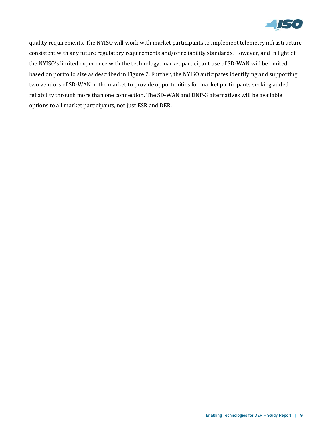

quality requirements. The NYISO will work with market participants to implement telemetry infrastructure consistent with any future regulatory requirements and/or reliability standards. However, and in light of the NYISO's limited experience with the technology, market participant use of SD-WAN will be limited based on portfolio size as described in Figure 2. Further, the NYISO anticipates identifying and supporting two vendors of SD-WAN in the market to provide opportunities for market participants seeking added reliability through more than one connection. The SD-WAN and DNP-3 alternatives will be available options to all market participants, not just ESR and DER.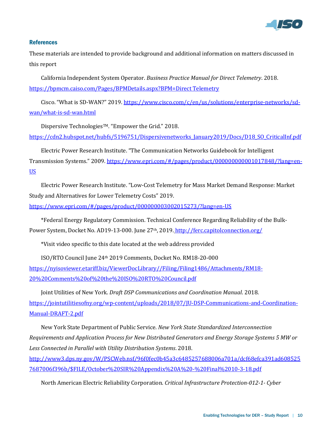

### <span id="page-9-0"></span>**References**

These materials are intended to provide background and additional information on matters discussed in this report

California Independent System Operator. *Business Practice Manual for Direct Telemetry*. 2018. [https://bpmcm.caiso.com/Pages/BPMDetails.aspx?BPM=Direct Telemetry](https://bpmcm.caiso.com/Pages/BPMDetails.aspx?BPM=Direct%20Telemetry)

Cisco. "What is SD-WAN?" 2019. [https://www.cisco.com/c/en/us/solutions/enterprise-networks/sd](https://www.cisco.com/c/en/us/solutions/enterprise-networks/sd-wan/what-is-sd-wan.html)[wan/what-is-sd-wan.html](https://www.cisco.com/c/en/us/solutions/enterprise-networks/sd-wan/what-is-sd-wan.html)

Dispersive TechnologiesTM. "Empower the Grid." 2018.

[https://cdn2.hubspot.net/hubfs/5196751/Dispersivenetworks\\_January2019/Docs/D18\\_SO\\_CriticalInf.pdf](https://cdn2.hubspot.net/hubfs/5196751/Dispersivenetworks_January2019/Docs/D18_SO_CriticalInf.pdf)

Electric Power Research Institute. "The Communication Networks Guidebook for Intelligent Transmission Systems." 2009. [https://www.epri.com/#/pages/product/000000000001017848/?lang=en-](https://www.epri.com/#/pages/product/000000000001017848/?lang=en-US)[US](https://www.epri.com/#/pages/product/000000000001017848/?lang=en-US)

Electric Power Research Institute. "Low-Cost Telemetry for Mass Market Demand Response: Market Study and Alternatives for Lower Telemetry Costs" 2019.

<https://www.epri.com/#/pages/product/000000003002015273/?lang=en-US>

\*Federal Energy Regulatory Commission. Technical Conference Regarding Reliability of the BulkPower System, Docket No. AD19-13-000. June 27<sup>th</sup>, 2019. <http://ferc.capitolconnection.org/>

\*Visit video specific to this date located at the web address provided

ISO/RTO Council June 24th 2019 Comments, Docket No. RM18-20-000 https://nyisoviewer.etariff.biz/ViewerDocLibrary//Filing/Filing1486/Attachments/RM18- 20%20Comments%20of%20the%20ISO%20RTO%20Council.pdf

Joint Utilities of New York. *Draft DSP Communications and Coordination Manual*. 2018. [https://jointutilitiesofny.org/wp-content/uploads/2018/07/JU-DSP-Communications-and-Coordination-](https://jointutilitiesofny.org/wp-content/uploads/2018/07/JU-DSP-Communications-and-Coordination-Manual-DRAFT-2.pdf)[Manual-DRAFT-2.pdf](https://jointutilitiesofny.org/wp-content/uploads/2018/07/JU-DSP-Communications-and-Coordination-Manual-DRAFT-2.pdf)

New York State Department of Public Service. *New York State Standardized Interconnection Requirements and Application Process for New Distributed Generators and Energy Storage Systems 5 MW or Less Connected in Parallel with Utility Distribution Systems*. 2018.

[http://www3.dps.ny.gov/W/PSCWeb.nsf/96f0fec0b45a3c6485257688006a701a/dcf68efca391ad608525](http://www3.dps.ny.gov/W/PSCWeb.nsf/96f0fec0b45a3c6485257688006a701a/dcf68efca391ad6085257687006f396b/$FILE/October%20SIR%20Appendix%20A%20-%20Final%2010-3-18.pdf) [7687006f396b/\\$FILE/October%20SIR%20Appendix%20A%20-%20Final%2010-3-18.pdf](http://www3.dps.ny.gov/W/PSCWeb.nsf/96f0fec0b45a3c6485257688006a701a/dcf68efca391ad6085257687006f396b/$FILE/October%20SIR%20Appendix%20A%20-%20Final%2010-3-18.pdf)

North American Electric Reliability Corporation. *Critical Infrastructure Protection-012-1- Cyber*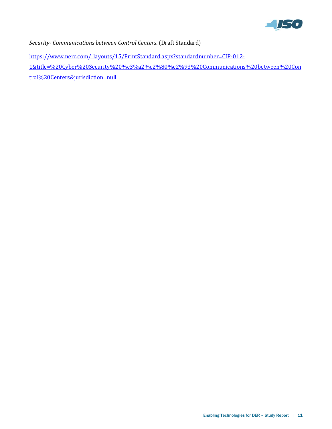

*Security- Communications between Control Centers*. (Draft Standard)

[https://www.nerc.com/\\_layouts/15/PrintStandard.aspx?standardnumber=CIP-012-](https://www.nerc.com/_layouts/15/PrintStandard.aspx?standardnumber=CIP-012-1&title=%20Cyber%20Security%20%c3%a2%c2%80%c2%93%20Communications%20between%20Control%20Centers&jurisdiction=null) [1&title=%20Cyber%20Security%20%c3%a2%c2%80%c2%93%20Communications%20between%20Con](https://www.nerc.com/_layouts/15/PrintStandard.aspx?standardnumber=CIP-012-1&title=%20Cyber%20Security%20%c3%a2%c2%80%c2%93%20Communications%20between%20Control%20Centers&jurisdiction=null) [trol%20Centers&jurisdiction=null](https://www.nerc.com/_layouts/15/PrintStandard.aspx?standardnumber=CIP-012-1&title=%20Cyber%20Security%20%c3%a2%c2%80%c2%93%20Communications%20between%20Control%20Centers&jurisdiction=null)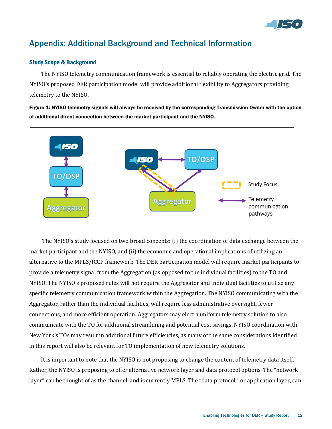

# <span id="page-11-0"></span>Appendix: Additional Background and Technical Information

### <span id="page-11-1"></span>Study Scope & Background

The NYISO telemetry communication framework is essential to reliably operating the electric grid. The NYISO's proposed DER participation model will provide additional flexibility to Aggregators providing telemetry to the NYISO.

Figure 1: NYISO telemetry signals will always be received by the corresponding Transmission Owner with the option of additional direct connection between the market participant and the NYISO.



The NYISO's study focused on two broad concepts: (i) the coordination of data exchange between the market participant and the NYISO, and (ii) the economic and operational implications of utilizing an alternative to the MPLS/ICCP framework. The DER participation model will require market participants to provide a telemetry signal from the Aggregation (as opposed to the individual facilities) to the TO and NYISO. The NYISO's proposed rules will not require the Aggregator and individual facilities to utilize any specific telemetry communication framework within the Aggregation. The NYISO communicating with the Aggregator, rather than the individual facilities, will require less administrative oversight, fewer connections, and more efficient operation. Aggregators may elect a uniform telemetry solution to also communicate with the TO for additional streamlining and potential cost savings. NYISO coordination with New York's TOs may result in additional future efficiencies, as many of the same considerations identified in this report will also be relevant for TO implementation of new telemetry solutions.

It is important to note that the NYISO is not proposing to change the content of telemetry data itself. Rather, the NYISO is proposing to offer alternative network layer and data protocol options. The "network layer" can be thought of as the channel, and is currently MPLS. The "data protocol," or application layer, can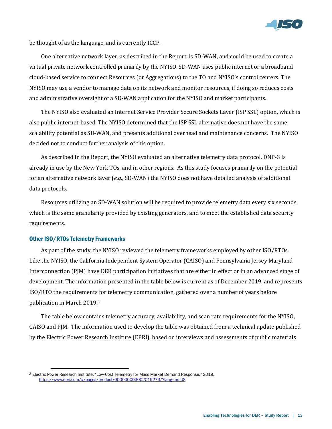

be thought of as the language, and is currently ICCP.

One alternative network layer, as described in the Report, is SD-WAN, and could be used to create a virtual private network controlled primarily by the NYISO. SD-WAN uses public internet or a broadband cloud-based service to connect Resources (or Aggregations) to the TO and NYISO's control centers. The NYISO may use a vendor to manage data on its network and monitor resources, if doing so reduces costs and administrative oversight of a SD-WAN application for the NYISO and market participants.

The NYISO also evaluated an Internet Service Provider Secure Sockets Layer (ISP SSL) option, which is also public internet-based. The NYISO determined that the ISP SSL alternative does not have the same scalability potential as SD-WAN, and presents additional overhead and maintenance concerns. The NYISO decided not to conduct further analysis of this option.

As described in the Report, the NYISO evaluated an alternative telemetry data protocol. DNP-3 is already in use by the New York TOs, and in other regions. As this study focuses primarily on the potential for an alternative network layer (*e.g.,* SD-WAN) the NYISO does not have detailed analysis of additional data protocols.

Resources utilizing an SD-WAN solution will be required to provide telemetry data every six seconds, which is the same granularity provided by existing generators, and to meet the established data security requirements.

### <span id="page-12-0"></span>Other ISO/RTOs Telemetry Frameworks

-

As part of the study, the NYISO reviewed the telemetry frameworks employed by other ISO/RTOs. Like the NYISO, the California Independent System Operator (CAISO) and Pennsylvania Jersey Maryland Interconnection (PJM) have DER participation initiatives that are either in effect or in an advanced stage of development. The information presented in the table below is current as of December 2019, and represents ISO/RTO the requirements for telemetry communication, gathered over a number of years before publication in March 2019.<sup>3</sup>

The table below contains telemetry accuracy, availability, and scan rate requirements for the NYISO, CAISO and PJM. The information used to develop the table was obtained from a technical update published by the Electric Power Research Institute (EPRI), based on interviews and assessments of public materials

<sup>3</sup> Electric Power Research Institute. "Low-Cost Telemetry for Mass Market Demand Response." 2019. <https://www.epri.com/#/pages/product/000000003002015273/?lang=en-US>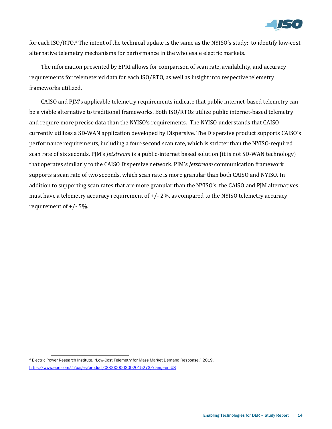

for each ISO/RTO.<sup>4</sup> The intent of the technical update is the same as the NYISO's study: to identify low-cost alternative telemetry mechanisms for performance in the wholesale electric markets.

The information presented by EPRI allows for comparison of scan rate, availability, and accuracy requirements for telemetered data for each ISO/RTO, as well as insight into respective telemetry frameworks utilized.

CAISO and PJM's applicable telemetry requirements indicate that public internet-based telemetry can be a viable alternative to traditional frameworks. Both ISO/RTOs utilize public internet-based telemetry and require more precise data than the NYISO's requirements. The NYISO understands that CAISO currently utilizes a SD-WAN application developed by Dispersive. The Dispersive product supports CAISO's performance requirements, including a four-second scan rate, which is stricter than the NYISO-required scan rate of six seconds. PJM's *Jetstream* is a public-internet based solution (it is not SD-WAN technology) that operates similarly to the CAISO Dispersive network. PJM's *Jetstream* communication framework supports a scan rate of two seconds, which scan rate is more granular than both CAISO and NYISO. In addition to supporting scan rates that are more granular than the NYISO's, the CAISO and PJM alternatives must have a telemetry accuracy requirement of +/- 2%, as compared to the NYISO telemetry accuracy requirement of +/- 5%.

<sup>-</sup><sup>4</sup> Electric Power Research Institute. "Low-Cost Telemetry for Mass Market Demand Response." 2019. <https://www.epri.com/#/pages/product/000000003002015273/?lang=en-US>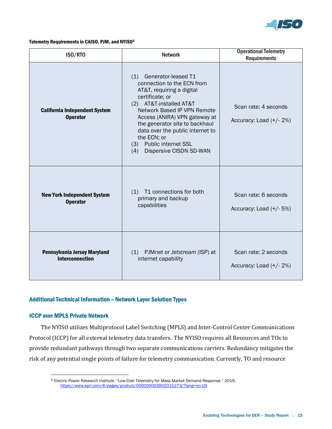

### <span id="page-14-0"></span>Telemetry Requirements in CAISO, PJM, and NYISO<sup>5</sup>

| ISO/RTO                                                 | <b>Network</b>                                                                                                                                                                                                                                                                                                                                        | <b>Operational Telemetry</b><br><b>Requirements</b> |
|---------------------------------------------------------|-------------------------------------------------------------------------------------------------------------------------------------------------------------------------------------------------------------------------------------------------------------------------------------------------------------------------------------------------------|-----------------------------------------------------|
| <b>California Independent System</b><br><b>Operator</b> | Generator-leased T1<br>(1)<br>connection to the ECN from<br>AT&T, requiring a digital<br>certificate; or<br>(2) AT&T-installed AT&T<br>Network Based IP VPN Remote<br>Access (ANIRA) VPN gateway at<br>the generator site to backhaul<br>data over the public internet to<br>the ECN; or<br>(3) Public internet SSL<br>Dispersive CISDN SD-WAN<br>(4) | Scan rate: 4 seconds<br>Accuracy: Load $(+/- 2%)$   |
| <b>New York Independent System</b><br><b>Operator</b>   | T1 connections for both<br>(1)<br>primary and backup<br>capabilities                                                                                                                                                                                                                                                                                  | Scan rate: 6 seconds<br>Accuracy: Load (+/-5%)      |
| Pennsylvania Jersey Maryland<br><b>Interconnection</b>  | (1) PJMnet or Jetstream (ISP) at<br>internet capability                                                                                                                                                                                                                                                                                               | Scan rate: 2 seconds<br>Accuracy: Load $(+/- 2%)$   |

### <span id="page-14-1"></span>Additional Technical Information – Network Layer Solution Types

### <span id="page-14-2"></span>ICCP over MPLS Private Network

l

The NYISO utilizes Multiprotocol Label Switching (MPLS) and Inter-Control Center Communications Protocol (ICCP) for all external telemetry data transfers. The NYISO requires all Resources and TOs to provide redundant pathways through two separate communications carriers. Redundancy mitigates the risk of any potential single points of failure for telemetry communication. Currently, TO and resource

<sup>5</sup> Electric Power Research Institute. "Low-Cost Telemetry for Mass Market Demand Response." 2019. <https://www.epri.com/#/pages/product/000000003002015273/?lang=en-US>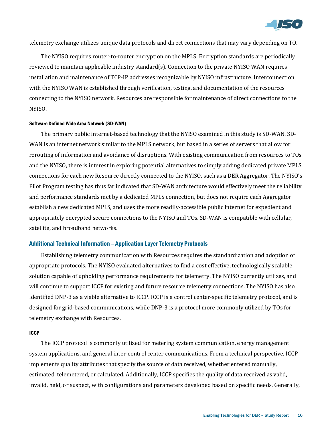

telemetry exchange utilizes unique data protocols and direct connections that may vary depending on TO.

The NYISO requires router-to-router encryption on the MPLS. Encryption standards are periodically reviewed to maintain applicable industry standard(s). Connection to the private NYISO WAN requires installation and maintenance of TCP-IP addresses recognizable by NYISO infrastructure. Interconnection with the NYISO WAN is established through verification, testing, and documentation of the resources connecting to the NYISO network. Resources are responsible for maintenance of direct connections to the NYISO.

### <span id="page-15-0"></span>Software Defined Wide Area Network (SD-WAN)

The primary public internet-based technology that the NYISO examined in this study is SD-WAN. SD-WAN is an internet network similar to the MPLS network, but based in a series of servers that allow for rerouting of information and avoidance of disruptions. With existing communication from resources to TOs and the NYISO, there is interest in exploring potential alternatives to simply adding dedicated private MPLS connections for each new Resource directly connected to the NYISO, such as a DER Aggregator. The NYISO's Pilot Program testing has thus far indicated that SD-WAN architecture would effectively meet the reliability and performance standards met by a dedicated MPLS connection, but does not require each Aggregator establish a new dedicated MPLS, and uses the more readily-accessible public internet for expedient and appropriately encrypted secure connections to the NYISO and TOs. SD-WAN is compatible with cellular, satellite, and broadband networks.

### <span id="page-15-1"></span>Additional Technical Information – Application Layer Telemetry Protocols

Establishing telemetry communication with Resources requires the standardization and adoption of appropriate protocols. The NYISO evaluated alternatives to find a cost effective, technologically scalable solution capable of upholding performance requirements for telemetry. The NYISO currently utilizes, and will continue to support ICCP for existing and future resource telemetry connections. The NYISO has also identified DNP-3 as a viable alternative to ICCP. ICCP is a control center-specific telemetry protocol, and is designed for grid-based communications, while DNP-3 is a protocol more commonly utilized by TOs for telemetry exchange with Resources.

#### <span id="page-15-2"></span>ICCP

The ICCP protocol is commonly utilized for metering system communication, energy management system applications, and general inter-control center communications. From a technical perspective, ICCP implements quality attributes that specify the source of data received, whether entered manually, estimated, telemetered, or calculated. Additionally, ICCP specifies the quality of data received as valid, invalid, held, or suspect, with configurations and parameters developed based on specific needs. Generally,